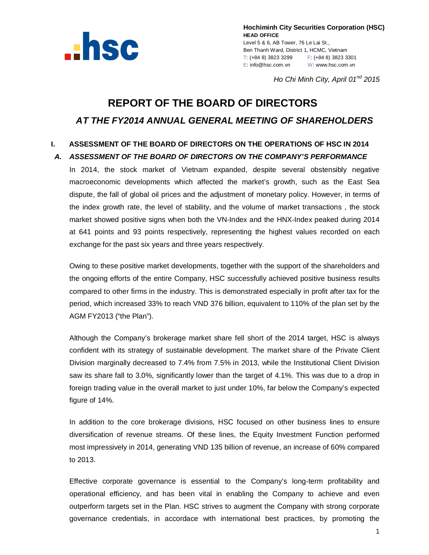

**Hochiminh City Securities Corporation (HSC) HEAD OFFICE** Level 5 & 6, AB Tower, 76 Le Lai St., Ben Thanh Ward, District 1, HCMC, Vietnam T: (+84 8) 3823 3299 F: (+84 8) 3823 3301 E: info@hsc.com.vn W: www.hsc.com.vn

*Ho Chi Minh City, April 01 nd 2015*

# **REPORT OF THE BOARD OF DIRECTORS** *AT THE FY2014 ANNUAL GENERAL MEETING OF SHAREHOLDERS*

# **I. ASSESSMENT OF THE BOARD OF DIRECTORS ON THE OPERATIONS OF HSC IN 2014**

#### *A. ASSESSMENT OF THE BOARD OF DIRECTORS ON THE COMPANY'S PERFORMANCE*

In 2014, the stock market of Vietnam expanded, despite several obstensibly negative macroeconomic developments which affected the market's growth, such as the East Sea dispute, the fall of global oil prices and the adjustment of monetary policy. However, in terms of the index growth rate, the level of stability, and the volume of market transactions , the stock market showed positive signs when both the VN-Index and the HNX-Index peaked during 2014 at 641 points and 93 points respectively, representing the highest values recorded on each exchange for the past six years and three years respectively.

Owing to these positive market developments, together with the support of the shareholders and the ongoing efforts of the entire Company, HSC successfully achieved positive business results compared to other firms in the industry. This is demonstrated especially in profit after tax for the period, which increased 33% to reach VND 376 billion, equivalent to 110% of the plan set by the AGM FY2013 ("the Plan").

Although the Company's brokerage market share fell short of the 2014 target, HSC is always confident with its strategy of sustainable development. The market share of the Private Client Division marginally decreased to 7.4% from 7.5% in 2013, while the Institutional Client Division saw its share fall to 3.0%, significantly lower than the target of 4.1%. This was due to a drop in foreign trading value in the overall market to just under 10%, far below the Company's expected figure of 14%.

In addition to the core brokerage divisions, HSC focused on other business lines to ensure diversification of revenue streams. Of these lines, the Equity Investment Function performed most impressively in 2014, generating VND 135 billion of revenue, an increase of 60% compared to 2013.

Effective corporate governance is essential to the Company's long-term profitability and operational efficiency, and has been vital in enabling the Company to achieve and even outperform targets set in the Plan. HSC strives to augment the Company with strong corporate governance credentials, in accordace with international best practices, by promoting the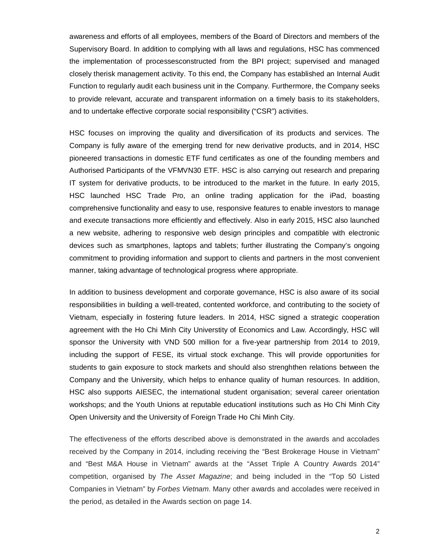awareness and efforts of all employees, members of the Board of Directors and members of the Supervisory Board. In addition to complying with all laws and regulations, HSC has commenced the implementation of processesconstructed from the BPI project; supervised and managed closely therisk management activity. To this end, the Company has established an Internal Audit Function to regularly audit each business unit in the Company. Furthermore, the Company seeks to provide relevant, accurate and transparent information on a timely basis to its stakeholders, and to undertake effective corporate social responsibility ("CSR") activities.

HSC focuses on improving the quality and diversification of its products and services. The Company is fully aware of the emerging trend for new derivative products, and in 2014, HSC pioneered transactions in domestic ETF fund certificates as one of the founding members and Authorised Participants of the VFMVN30 ETF. HSC is also carrying out research and preparing IT system for derivative products, to be introduced to the market in the future. In early 2015, HSC launched HSC Trade Pro, an online trading application for the iPad, boasting comprehensive functionality and easy to use, responsive features to enable investors to manage and execute transactions more efficiently and effectively. Also in early 2015, HSC also launched a new website, adhering to responsive web design principles and compatible with electronic devices such as smartphones, laptops and tablets; further illustrating the Company's ongoing commitment to providing information and support to clients and partners in the most convenient manner, taking advantage of technological progress where appropriate.

In addition to business development and corporate governance, HSC is also aware of its social responsibilities in building a well-treated, contented workforce, and contributing to the society of Vietnam, especially in fostering future leaders. In 2014, HSC signed a strategic cooperation agreement with the Ho Chi Minh City Universtity of Economics and Law. Accordingly, HSC will sponsor the University with VND 500 million for a five-year partnership from 2014 to 2019, including the support of FESE, its virtual stock exchange. This will provide opportunities for students to gain exposure to stock markets and should also strenghthen relations between the Company and the University, which helps to enhance quality of human resources. In addition, HSC also supports AIESEC, the international student organisation; several career orientation workshops; and the Youth Unions at reputable educationl institutions such as Ho Chi Minh City Open University and the University of Foreign Trade Ho Chi Minh City.

The effectiveness of the efforts described above is demonstrated in the awards and accolades received by the Company in 2014, including receiving the "Best Brokerage House in Vietnam" and "Best M&A House in Vietnam" awards at the "Asset Triple A Country Awards 2014" competition, organised by *The Asset Magazine*; and being included in the "Top 50 Listed Companies in Vietnam" by *Forbes Vietnam*. Many other awards and accolades were received in the period, as detailed in the Awards section on page 14.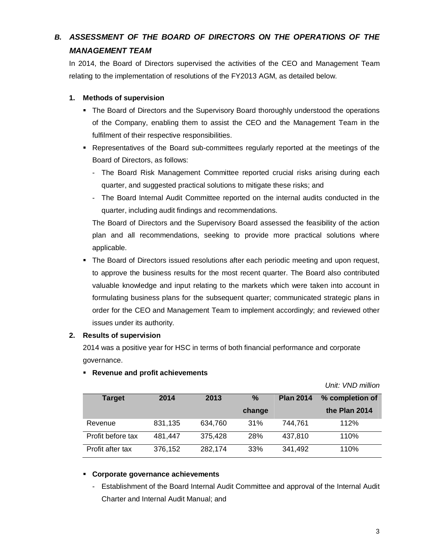# *B. ASSESSMENT OF THE BOARD OF DIRECTORS ON THE OPERATIONS OF THE MANAGEMENT TEAM*

In 2014, the Board of Directors supervised the activities of the CEO and Management Team relating to the implementation of resolutions of the FY2013 AGM, as detailed below.

#### **1. Methods of supervision**

- The Board of Directors and the Supervisory Board thoroughly understood the operations of the Company, enabling them to assist the CEO and the Management Team in the fulfilment of their respective responsibilities.
- Representatives of the Board sub-committees regularly reported at the meetings of the Board of Directors, as follows:
	- The Board Risk Management Committee reported crucial risks arising during each quarter, and suggested practical solutions to mitigate these risks; and
	- The Board Internal Audit Committee reported on the internal audits conducted in the quarter, including audit findings and recommendations.

The Board of Directors and the Supervisory Board assessed the feasibility of the action plan and all recommendations, seeking to provide more practical solutions where applicable.

 The Board of Directors issued resolutions after each periodic meeting and upon request, to approve the business results for the most recent quarter. The Board also contributed valuable knowledge and input relating to the markets which were taken into account in formulating business plans for the subsequent quarter; communicated strategic plans in order for the CEO and Management Team to implement accordingly; and reviewed other issues under its authority.

#### **2. Results of supervision**

2014 was a positive year for HSC in terms of both financial performance and corporate governance.

| <b>Target</b>     | 2014    | 2013    | $\%$<br>change | <b>Plan 2014</b> | % completion of<br>the Plan 2014 |
|-------------------|---------|---------|----------------|------------------|----------------------------------|
| Revenue           | 831,135 | 634,760 | 31%            | 744.761          | 112%                             |
| Profit before tax | 481,447 | 375,428 | 28%            | 437,810          | 110%                             |
| Profit after tax  | 376,152 | 282,174 | 33%            | 341,492          | 110%                             |

#### **Revenue and profit achievements**

*Unit: VND million*

#### **Corporate governance achievements**

- Establishment of the Board Internal Audit Committee and approval of the Internal Audit Charter and Internal Audit Manual; and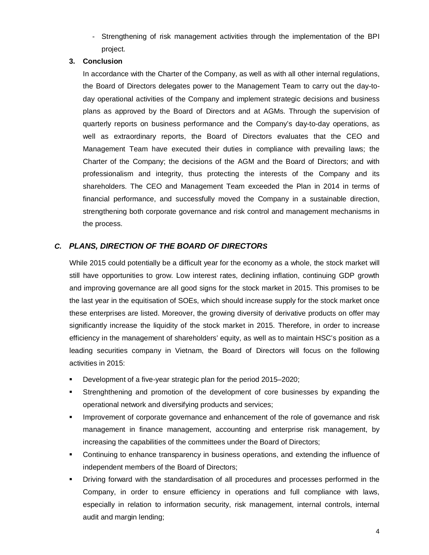- Strengthening of risk management activities through the implementation of the BPI project.

#### **3. Conclusion**

In accordance with the Charter of the Company, as well as with all other internal regulations, the Board of Directors delegates power to the Management Team to carry out the day-today operational activities of the Company and implement strategic decisions and business plans as approved by the Board of Directors and at AGMs. Through the supervision of quarterly reports on business performance and the Company's day-to-day operations, as well as extraordinary reports, the Board of Directors evaluates that the CEO and Management Team have executed their duties in compliance with prevailing laws; the Charter of the Company; the decisions of the AGM and the Board of Directors; and with professionalism and integrity, thus protecting the interests of the Company and its shareholders. The CEO and Management Team exceeded the Plan in 2014 in terms of financial performance, and successfully moved the Company in a sustainable direction, strengthening both corporate governance and risk control and management mechanisms in the process.

# *C. PLANS, DIRECTION OF THE BOARD OF DIRECTORS*

While 2015 could potentially be a difficult year for the economy as a whole, the stock market will still have opportunities to grow. Low interest rates, declining inflation, continuing GDP growth and improving governance are all good signs for the stock market in 2015. This promises to be the last year in the equitisation of SOEs, which should increase supply for the stock market once these enterprises are listed. Moreover, the growing diversity of derivative products on offer may significantly increase the liquidity of the stock market in 2015. Therefore, in order to increase efficiency in the management of shareholders' equity, as well as to maintain HSC's position as a leading securities company in Vietnam, the Board of Directors will focus on the following activities in 2015:

- Development of a five-year strategic plan for the period 2015–2020;
- Strenghthening and promotion of the development of core businesses by expanding the operational network and diversifying products and services;
- Improvement of corporate governance and enhancement of the role of governance and risk management in finance management, accounting and enterprise risk management, by increasing the capabilities of the committees under the Board of Directors;
- Continuing to enhance transparency in business operations, and extending the influence of independent members of the Board of Directors;
- Driving forward with the standardisation of all procedures and processes performed in the Company, in order to ensure efficiency in operations and full compliance with laws, especially in relation to information security, risk management, internal controls, internal audit and margin lending;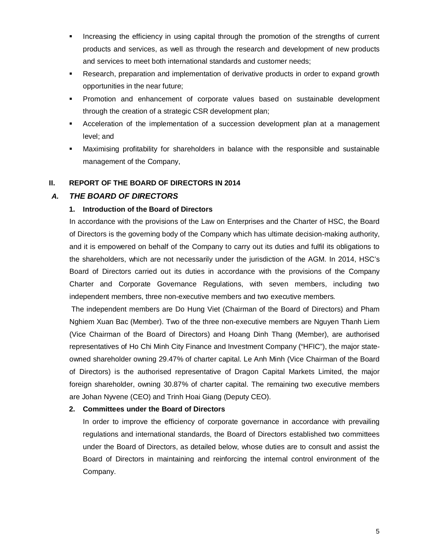- Increasing the efficiency in using capital through the promotion of the strengths of current products and services, as well as through the research and development of new products and services to meet both international standards and customer needs;
- Research, preparation and implementation of derivative products in order to expand growth opportunities in the near future;
- Promotion and enhancement of corporate values based on sustainable development through the creation of a strategic CSR development plan;
- Acceleration of the implementation of a succession development plan at a management level; and
- Maximising profitability for shareholders in balance with the responsible and sustainable management of the Company,

#### **II. REPORT OF THE BOARD OF DIRECTORS IN 2014**

## *A. THE BOARD OF DIRECTORS*

#### **1. Introduction of the Board of Directors**

In accordance with the provisions of the Law on Enterprises and the Charter of HSC, the Board of Directors is the governing body of the Company which has ultimate decision-making authority, and it is empowered on behalf of the Company to carry out its duties and fulfil its obligations to the shareholders, which are not necessarily under the jurisdiction of the AGM. In 2014, HSC's Board of Directors carried out its duties in accordance with the provisions of the Company Charter and Corporate Governance Regulations, with seven members, including two independent members, three non-executive members and two executive members*.*

The independent members are Do Hung Viet (Chairman of the Board of Directors) and Pham Nghiem Xuan Bac (Member). Two of the three non-executive members are Nguyen Thanh Liem (Vice Chairman of the Board of Directors) and Hoang Dinh Thang (Member), are authorised representatives of Ho Chi Minh City Finance and Investment Company ("HFIC"), the major stateowned shareholder owning 29.47% of charter capital. Le Anh Minh (Vice Chairman of the Board of Directors) is the authorised representative of Dragon Capital Markets Limited, the major foreign shareholder, owning 30.87% of charter capital. The remaining two executive members are Johan Nyvene (CEO) and Trinh Hoai Giang (Deputy CEO).

#### **2. Committees under the Board of Directors**

In order to improve the efficiency of corporate governance in accordance with prevailing regulations and international standards, the Board of Directors established two committees under the Board of Directors, as detailed below, whose duties are to consult and assist the Board of Directors in maintaining and reinforcing the internal control environment of the Company.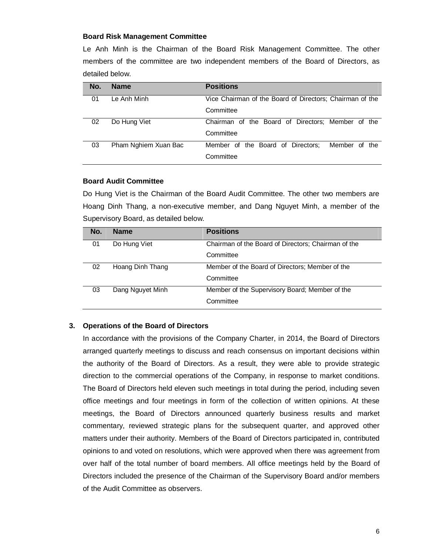#### **Board Risk Management Committee**

Le Anh Minh is the Chairman of the Board Risk Management Committee. The other members of the committee are two independent members of the Board of Directors, as detailed below.

| No. | <b>Name</b>          | <b>Positions</b>                                         |
|-----|----------------------|----------------------------------------------------------|
| 01  | Le Anh Minh          | Vice Chairman of the Board of Directors; Chairman of the |
|     |                      | Committee                                                |
| 02  | Do Hung Viet         | Chairman of the Board of Directors; Member of the        |
|     |                      | Committee                                                |
| 03  | Pham Nghiem Xuan Bac | Member of the Board of Directors:<br>Member of the       |
|     |                      | Committee                                                |

#### **Board Audit Committee**

Do Hung Viet is the Chairman of the Board Audit Committee. The other two members are Hoang Dinh Thang, a non-executive member, and Dang Nguyet Minh, a member of the Supervisory Board, as detailed below.

| No. | <b>Name</b>      | <b>Positions</b>                                    |
|-----|------------------|-----------------------------------------------------|
| 01  | Do Hung Viet     | Chairman of the Board of Directors; Chairman of the |
|     |                  | Committee                                           |
| 02  | Hoang Dinh Thang | Member of the Board of Directors; Member of the     |
|     |                  | Committee                                           |
| 03  | Dang Nguyet Minh | Member of the Supervisory Board; Member of the      |
|     |                  | Committee                                           |

#### **3. Operations of the Board of Directors**

In accordance with the provisions of the Company Charter, in 2014, the Board of Directors arranged quarterly meetings to discuss and reach consensus on important decisions within the authority of the Board of Directors. As a result, they were able to provide strategic direction to the commercial operations of the Company, in response to market conditions. The Board of Directors held eleven such meetings in total during the period, including seven office meetings and four meetings in form of the collection of written opinions. At these meetings, the Board of Directors announced quarterly business results and market commentary, reviewed strategic plans for the subsequent quarter, and approved other matters under their authority. Members of the Board of Directors participated in, contributed opinions to and voted on resolutions, which were approved when there was agreement from over half of the total number of board members. All office meetings held by the Board of Directors included the presence of the Chairman of the Supervisory Board and/or members of the Audit Committee as observers.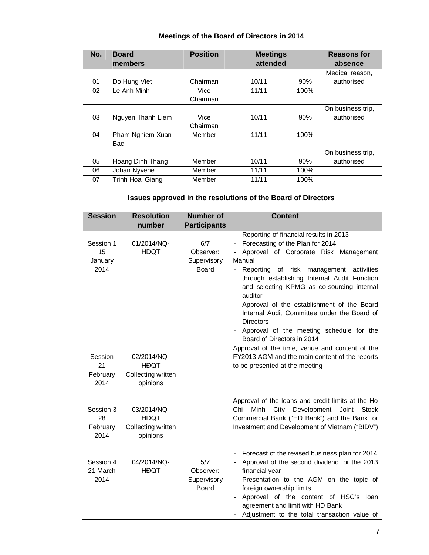| No. | <b>Board</b><br>members | <b>Position</b> | <b>Meetings</b><br>attended |      | <b>Reasons for</b><br>absence |
|-----|-------------------------|-----------------|-----------------------------|------|-------------------------------|
|     |                         |                 |                             |      | Medical reason,               |
| 01  | Do Hung Viet            | Chairman        | 10/11                       | 90%  | authorised                    |
| 02  | Le Anh Minh             | Vice            | 11/11                       | 100% |                               |
|     |                         | Chairman        |                             |      |                               |
|     |                         |                 |                             |      | On business trip,             |
| 03  | Nguyen Thanh Liem       | Vice            | 10/11                       | 90%  | authorised                    |
|     |                         | Chairman        |                             |      |                               |
| 04  | Pham Nghiem Xuan        | Member          | 11/11                       | 100% |                               |
|     | Bac                     |                 |                             |      |                               |
|     |                         |                 |                             |      | On business trip,             |
| 05  | Hoang Dinh Thang        | Member          | 10/11                       | 90%  | authorised                    |
| 06  | Johan Nyvene            | Member          | 11/11                       | 100% |                               |
| 07  | Trinh Hoai Giang        | Member          | 11/11                       | 100% |                               |

#### **Meetings of the Board of Directors in 2014**

# **Issues approved in the resolutions of the Board of Directors**

| <b>Session</b>                      | <b>Resolution</b><br>number                                  | <b>Number of</b><br><b>Participants</b>         | <b>Content</b>                                                                                                                                                                                                                                                                                                                                                                                                                                                                                        |
|-------------------------------------|--------------------------------------------------------------|-------------------------------------------------|-------------------------------------------------------------------------------------------------------------------------------------------------------------------------------------------------------------------------------------------------------------------------------------------------------------------------------------------------------------------------------------------------------------------------------------------------------------------------------------------------------|
| Session 1<br>15<br>January<br>2014  | 01/2014/NQ-<br><b>HĐQT</b>                                   | 6/7<br>Observer:<br>Supervisory<br><b>Board</b> | Reporting of financial results in 2013<br>$ \,$<br>Forecasting of the Plan for 2014<br>Approval of Corporate Risk Management<br>Manual<br>Reporting<br>of risk<br>management<br>activities<br>$-$<br>through establishing Internal Audit Function<br>and selecting KPMG as co-sourcing internal<br>auditor<br>Approval of the establishment of the Board<br>Internal Audit Committee under the Board of<br><b>Directors</b><br>Approval of the meeting schedule for the<br>Board of Directors in 2014 |
| Session<br>21<br>February<br>2014   | 02/2014/NQ-<br><b>HĐOT</b><br>Collecting written<br>opinions |                                                 | Approval of the time, venue and content of the<br>FY2013 AGM and the main content of the reports<br>to be presented at the meeting                                                                                                                                                                                                                                                                                                                                                                    |
| Session 3<br>28<br>February<br>2014 | 03/2014/NQ-<br><b>HĐQT</b><br>Collecting written<br>opinions |                                                 | Approval of the loans and credit limits at the Ho<br>Chi<br>Minh<br>City<br>Development<br>Joint<br><b>Stock</b><br>Commercial Bank ("HD Bank") and the Bank for<br>Investment and Development of Vietnam ("BIDV")                                                                                                                                                                                                                                                                                    |
| Session 4<br>21 March<br>2014       | 04/2014/NQ-<br><b>HĐQT</b>                                   | 5/7<br>Observer:<br>Supervisory<br><b>Board</b> | Forecast of the revised business plan for 2014<br>Approval of the second dividend for the 2013<br>financial year<br>Presentation to the AGM on the topic of<br>$ \,$<br>foreign ownership limits<br>Approval of the content of HSC's loan<br>agreement and limit with HD Bank<br>Adjustment to the total transaction value of                                                                                                                                                                         |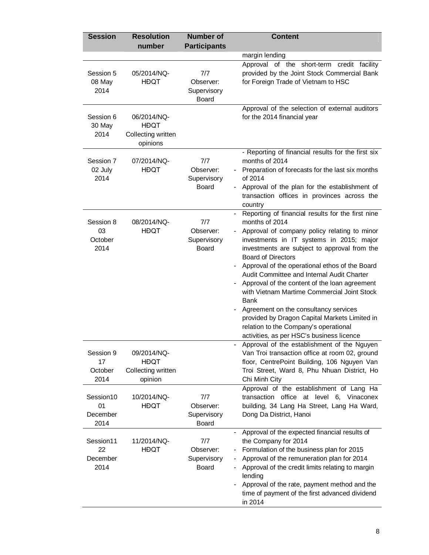| <b>Session</b>                      | <b>Resolution</b><br>number                                  | <b>Number of</b><br><b>Participants</b>         | <b>Content</b>                                                                                                                                                                                                                                                                                                                                                                                                                                                                                                                                                                                                                              |
|-------------------------------------|--------------------------------------------------------------|-------------------------------------------------|---------------------------------------------------------------------------------------------------------------------------------------------------------------------------------------------------------------------------------------------------------------------------------------------------------------------------------------------------------------------------------------------------------------------------------------------------------------------------------------------------------------------------------------------------------------------------------------------------------------------------------------------|
|                                     |                                                              |                                                 | margin lending                                                                                                                                                                                                                                                                                                                                                                                                                                                                                                                                                                                                                              |
| Session 5<br>08 May<br>2014         | 05/2014/NQ-<br><b>HĐQT</b>                                   | 7/7<br>Observer:<br>Supervisory<br><b>Board</b> | Approval of the short-term credit facility<br>provided by the Joint Stock Commercial Bank<br>for Foreign Trade of Vietnam to HSC                                                                                                                                                                                                                                                                                                                                                                                                                                                                                                            |
| Session 6<br>30 May<br>2014         | 06/2014/NQ-<br><b>HĐQT</b><br>Collecting written<br>opinions |                                                 | Approval of the selection of external auditors<br>for the 2014 financial year                                                                                                                                                                                                                                                                                                                                                                                                                                                                                                                                                               |
| Session 7<br>02 July<br>2014        | 07/2014/NQ-<br><b>HĐQT</b>                                   | 7/7<br>Observer:<br>Supervisory<br><b>Board</b> | - Reporting of financial results for the first six<br>months of 2014<br>Preparation of forecasts for the last six months<br>of 2014<br>Approval of the plan for the establishment of<br>transaction offices in provinces across the<br>country                                                                                                                                                                                                                                                                                                                                                                                              |
| Session 8<br>03<br>October<br>2014  | 08/2014/NQ-<br><b>HĐQT</b>                                   | 7/7<br>Observer:<br>Supervisory<br><b>Board</b> | Reporting of financial results for the first nine<br>$-$<br>months of 2014<br>Approval of company policy relating to minor<br>investments in IT systems in 2015; major<br>investments are subject to approval from the<br><b>Board of Directors</b><br>Approval of the operational ethos of the Board<br>Audit Committee and Internal Audit Charter<br>Approval of the content of the loan agreement<br>with Vietnam Martime Commercial Joint Stock<br>Bank<br>Agreement on the consultancy services<br>provided by Dragon Capital Markets Limited in<br>relation to the Company's operational<br>activities, as per HSC's business licence |
| Session 9<br>17<br>October<br>2014  | 09/2014/NQ-<br><b>HĐQT</b><br>Collecting written<br>opinion  |                                                 | Approval of the establishment of the Nguyen<br>Van Troi transaction office at room 02, ground<br>floor, CentrePoint Building, 106 Nguyen Van<br>Troi Street, Ward 8, Phu Nhuan District, Ho<br>Chi Minh City                                                                                                                                                                                                                                                                                                                                                                                                                                |
| Session10<br>01<br>December<br>2014 | 10/2014/NQ-<br><b>HĐQT</b>                                   | 7/7<br>Observer:<br>Supervisory<br><b>Board</b> | Approval of the establishment of Lang Ha<br>transaction<br>office at level 6, Vinaconex<br>building, 34 Lang Ha Street, Lang Ha Ward,<br>Dong Da District, Hanoi                                                                                                                                                                                                                                                                                                                                                                                                                                                                            |
| Session11<br>22<br>December<br>2014 | 11/2014/NQ-<br><b>HĐQT</b>                                   | 7/7<br>Observer:<br>Supervisory<br><b>Board</b> | Approval of the expected financial results of<br>the Company for 2014<br>Formulation of the business plan for 2015<br>Approval of the remuneration plan for 2014<br>Approval of the credit limits relating to margin<br>lending<br>Approval of the rate, payment method and the<br>time of payment of the first advanced dividend<br>in 2014                                                                                                                                                                                                                                                                                                |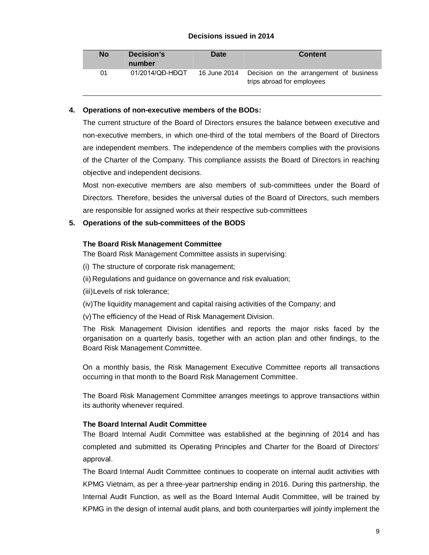#### **Decisions issued in 2014**

| <b>No</b> | Decision's<br>number | <b>Date</b>  | <b>Content</b>                                                        |
|-----------|----------------------|--------------|-----------------------------------------------------------------------|
| 01        | 01/2014/QD-HDQT      | 16 June 2014 | Decision on the arrangement of business<br>trips abroad for employees |

#### **4. Operations of non-executive members of the BODs:**

The current structure of the Board of Directors ensures the balance between executive and non-executive members, in which one-third of the total members of the Board of Directors are independent members. The independence of the members complies with the provisions of the Charter of the Company. This compliance assists the Board of Directors in reaching objective and independent decisions.

Most non-executive members are also members of sub-committees under the Board of Directors. Therefore, besides the universal duties of the Board of Directors, such members are responsible for assigned works at their respective sub-committees

#### **5. Operations of the sub-committees of the BODS**

#### **The Board Risk Management Committee**

The Board Risk Management Committee assists in supervising:

(i) The structure of corporate risk management;

(ii) Regulations and guidance on governance and risk evaluation;

(iii)Levels of risk tolerance;

(iv)The liquidity management and capital raising activities of the Company; and

(v)The efficiency of the Head of Risk Management Division.

The Risk Management Division identifies and reports the major risks faced by the organisation on a quarterly basis, together with an action plan and other findings, to the Board Risk Management Committee.

On a monthly basis, the Risk Management Executive Committee reports all transactions occurring in that month to the Board Risk Management Committee.

The Board Risk Management Committee arranges meetings to approve transactions within its authority whenever required.

#### **The Board Internal Audit Committee**

The Board Internal Audit Committee was established at the beginning of 2014 and has completed and submitted its Operating Principles and Charter for the Board of Directors' approval.

The Board Internal Audit Committee continues to cooperate on internal audit activities with KPMG Vietnam, as per a three-year partnership ending in 2016. During this partnership, the Internal Audit Function, as well as the Board Internal Audit Committee, will be trained by KPMG in the design of internal audit plans, and both counterparties will jointly implement the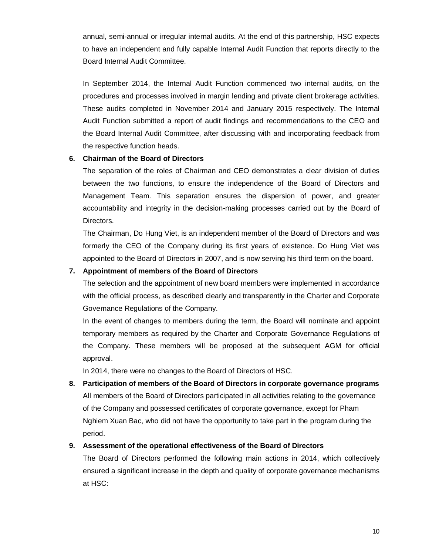annual, semi-annual or irregular internal audits. At the end of this partnership, HSC expects to have an independent and fully capable Internal Audit Function that reports directly to the Board Internal Audit Committee.

In September 2014, the Internal Audit Function commenced two internal audits, on the procedures and processes involved in margin lending and private client brokerage activities. These audits completed in November 2014 and January 2015 respectively. The Internal Audit Function submitted a report of audit findings and recommendations to the CEO and the Board Internal Audit Committee, after discussing with and incorporating feedback from the respective function heads.

#### **6. Chairman of the Board of Directors**

The separation of the roles of Chairman and CEO demonstrates a clear division of duties between the two functions, to ensure the independence of the Board of Directors and Management Team. This separation ensures the dispersion of power, and greater accountability and integrity in the decision-making processes carried out by the Board of Directors.

The Chairman, Do Hung Viet, is an independent member of the Board of Directors and was formerly the CEO of the Company during its first years of existence. Do Hung Viet was appointed to the Board of Directors in 2007, and is now serving his third term on the board.

#### **7. Appointment of members of the Board of Directors**

The selection and the appointment of new board members were implemented in accordance with the official process, as described clearly and transparently in the Charter and Corporate Governance Regulations of the Company.

In the event of changes to members during the term, the Board will nominate and appoint temporary members as required by the Charter and Corporate Governance Regulations of the Company. These members will be proposed at the subsequent AGM for official approval.

In 2014, there were no changes to the Board of Directors of HSC.

**8. Participation of members of the Board of Directors in corporate governance programs** All members of the Board of Directors participated in all activities relating to the governance of the Company and possessed certificates of corporate governance, except for Pham Nghiem Xuan Bac, who did not have the opportunity to take part in the program during the period.

#### **9. Assessment of the operational effectiveness of the Board of Directors**

The Board of Directors performed the following main actions in 2014, which collectively ensured a significant increase in the depth and quality of corporate governance mechanisms at HSC: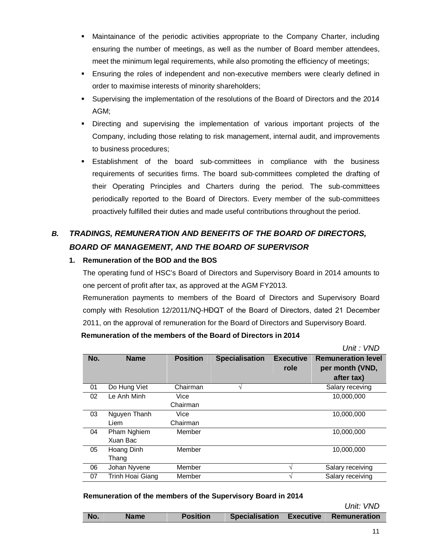- Maintainance of the periodic activities appropriate to the Company Charter, including ensuring the number of meetings, as well as the number of Board member attendees, meet the minimum legal requirements, while also promoting the efficiency of meetings;
- Ensuring the roles of independent and non-executive members were clearly defined in order to maximise interests of minority shareholders;
- Supervising the implementation of the resolutions of the Board of Directors and the 2014 AGM;
- Directing and supervising the implementation of various important projects of the Company, including those relating to risk management, internal audit, and improvements to business procedures;
- Establishment of the board sub-committees in compliance with the business requirements of securities firms. The board sub-committees completed the drafting of their Operating Principles and Charters during the period. The sub-committees periodically reported to the Board of Directors. Every member of the sub-committees proactively fulfilled their duties and made useful contributions throughout the period.

# *B. TRADINGS, REMUNERATION AND BENEFITS OF THE BOARD OF DIRECTORS, BOARD OF MANAGEMENT, AND THE BOARD OF SUPERVISOR*

## **1. Remuneration of the BOD and the BOS**

The operating fund of HSC's Board of Directors and Supervisory Board in 2014 amounts to one percent of profit after tax, as approved at the AGM FY2013.

Remuneration payments to members of the Board of Directors and Supervisory Board comply with Resolution 12/2011/NQ-HĐQT of the Board of Directors, dated 21 December 2011, on the approval of remuneration for the Board of Directors and Supervisory Board.

**Remuneration of the members of the Board of Directors in 2014**

*Unit : VND*

|     |                  |                 |                       |                  | UIII. VIVU                |
|-----|------------------|-----------------|-----------------------|------------------|---------------------------|
| No. | <b>Name</b>      | <b>Position</b> | <b>Specialisation</b> | <b>Executive</b> | <b>Remuneration level</b> |
|     |                  |                 |                       | role             | per month (VND,           |
|     |                  |                 |                       |                  | after tax)                |
| 01  | Do Hung Viet     | Chairman        | N                     |                  | Salary receving           |
| 02  | Le Anh Minh      | Vice            |                       |                  | 10,000,000                |
|     |                  | Chairman        |                       |                  |                           |
| 03  | Nguyen Thanh     | Vice            |                       |                  | 10,000,000                |
|     | Liem             | Chairman        |                       |                  |                           |
| 04  | Pham Nghiem      | Member          |                       |                  | 10,000,000                |
|     | Xuan Bac         |                 |                       |                  |                           |
| 05  | Hoang Dinh       | Member          |                       |                  | 10.000.000                |
|     | Thang            |                 |                       |                  |                           |
| 06  | Johan Nyvene     | Member          |                       |                  | Salary receiving          |
| 07  | Trinh Hoai Giang | Member          |                       |                  | Salary receiving          |
|     |                  |                 |                       |                  |                           |

**Remuneration of the members of the Supervisory Board in 2014**

*Unit: VND*

|  | No. | Name | Position |  |  | Specialisation Executive Remuneration |
|--|-----|------|----------|--|--|---------------------------------------|
|--|-----|------|----------|--|--|---------------------------------------|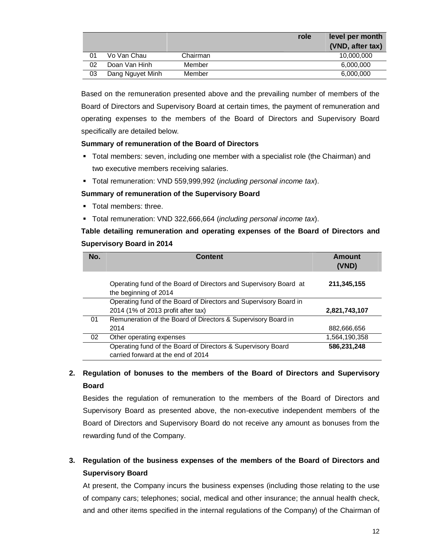|    |                  |          | role | level per month  |
|----|------------------|----------|------|------------------|
|    |                  |          |      | (VND, after tax) |
| 01 | Vo Van Chau      | Chairman |      | 10,000,000       |
| 02 | Doan Van Hinh    | Member   |      | 6,000,000        |
| 03 | Dang Nguyet Minh | Member   |      | 6,000,000        |

Based on the remuneration presented above and the prevailing number of members of the Board of Directors and Supervisory Board at certain times, the payment of remuneration and operating expenses to the members of the Board of Directors and Supervisory Board specifically are detailed below.

#### **Summary of remuneration of the Board of Directors**

- Total members: seven, including one member with a specialist role (the Chairman) and two executive members receiving salaries.
- Total remuneration: VND 559,999,992 (*including personal income tax*).

#### **Summary of remuneration of the Supervisory Board**

- **Total members: three**
- Total remuneration: VND 322,666,664 (*including personal income tax*).

**Table detailing remuneration and operating expenses of the Board of Directors and Supervisory Board in 2014** 

| No. | <b>Content</b>                                                                                     | Amount<br>(VND) |
|-----|----------------------------------------------------------------------------------------------------|-----------------|
|     | Operating fund of the Board of Directors and Supervisory Board at<br>the beginning of 2014         | 211,345,155     |
|     | Operating fund of the Board of Directors and Supervisory Board in                                  |                 |
|     | 2014 (1% of 2013 profit after tax)                                                                 | 2,821,743,107   |
| 01  | Remuneration of the Board of Directors & Supervisory Board in                                      |                 |
|     | 2014                                                                                               | 882,666,656     |
| 02  | Other operating expenses                                                                           | 1,564,190,358   |
|     | Operating fund of the Board of Directors & Supervisory Board<br>carried forward at the end of 2014 | 586,231,248     |

# **2. Regulation of bonuses to the members of the Board of Directors and Supervisory Board**

Besides the regulation of remuneration to the members of the Board of Directors and Supervisory Board as presented above, the non-executive independent members of the Board of Directors and Supervisory Board do not receive any amount as bonuses from the rewarding fund of the Company.

# **3. Regulation of the business expenses of the members of the Board of Directors and Supervisory Board**

At present, the Company incurs the business expenses (including those relating to the use of company cars; telephones; social, medical and other insurance; the annual health check, and and other items specified in the internal regulations of the Company) of the Chairman of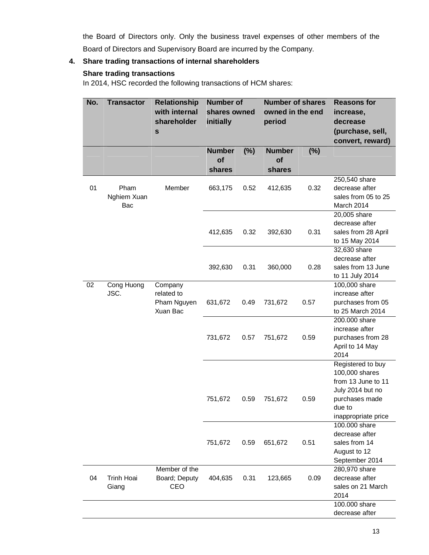the Board of Directors only. Only the business travel expenses of other members of the Board of Directors and Supervisory Board are incurred by the Company.

## **4. Share trading transactions of internal shareholders**

### **Share trading transactions**

In 2014, HSC recorded the following transactions of HCM shares:

| No. | <b>Transactor</b>          | <b>Relationship</b><br>with internal<br>shareholder<br>$\mathbf S$ | <b>Number of</b><br>shares owned<br>initially |        | <b>Number of shares</b><br>owned in the end<br>period |        | <b>Reasons for</b><br>increase,<br>decrease<br>(purchase, sell,<br>convert, reward)                                              |
|-----|----------------------------|--------------------------------------------------------------------|-----------------------------------------------|--------|-------------------------------------------------------|--------|----------------------------------------------------------------------------------------------------------------------------------|
|     |                            |                                                                    | <b>Number</b><br>of                           | $(\%)$ | <b>Number</b>                                         | $(\%)$ |                                                                                                                                  |
|     |                            |                                                                    | shares                                        |        | of<br>shares                                          |        |                                                                                                                                  |
| 01  | Pham<br>Nghiem Xuan<br>Bac | Member                                                             | 663,175                                       | 0.52   | 412,635                                               | 0.32   | 250,540 share<br>decrease after<br>sales from 05 to 25<br>March 2014                                                             |
|     |                            |                                                                    | 412,635                                       | 0.32   | 392,630                                               | 0.31   | 20,005 share<br>decrease after<br>sales from 28 April<br>to 15 May 2014                                                          |
|     |                            |                                                                    | 392,630                                       | 0.31   | 360,000                                               | 0.28   | 32,630 share<br>decrease after<br>sales from 13 June<br>to 11 July 2014                                                          |
| 02  | Cong Huong<br>JSC.         | Company<br>related to<br>Pham Nguyen<br>Xuan Bac                   | 631,672                                       | 0.49   | 731,672                                               | 0.57   | 100,000 share<br>increase after<br>purchases from 05<br>to 25 March 2014                                                         |
|     |                            |                                                                    | 731,672                                       | 0.57   | 751,672                                               | 0.59   | 200.000 share<br>increase after<br>purchases from 28<br>April to 14 May<br>2014                                                  |
|     |                            |                                                                    | 751,672                                       | 0.59   | 751,672                                               | 0.59   | Registered to buy<br>100,000 shares<br>from 13 June to 11<br>July 2014 but no<br>purchases made<br>due to<br>inappropriate price |
|     |                            |                                                                    | 751,672                                       | 0.59   | 651,672                                               | 0.51   | 100.000 share<br>decrease after<br>sales from 14<br>August to 12<br>September 2014                                               |
| 04  | <b>Trinh Hoai</b><br>Giang | Member of the<br>Board; Deputy<br>CEO                              | 404,635                                       | 0.31   | 123,665                                               | 0.09   | 280,970 share<br>decrease after<br>sales on 21 March<br>2014                                                                     |
|     |                            |                                                                    |                                               |        |                                                       |        | 100.000 share<br>decrease after                                                                                                  |